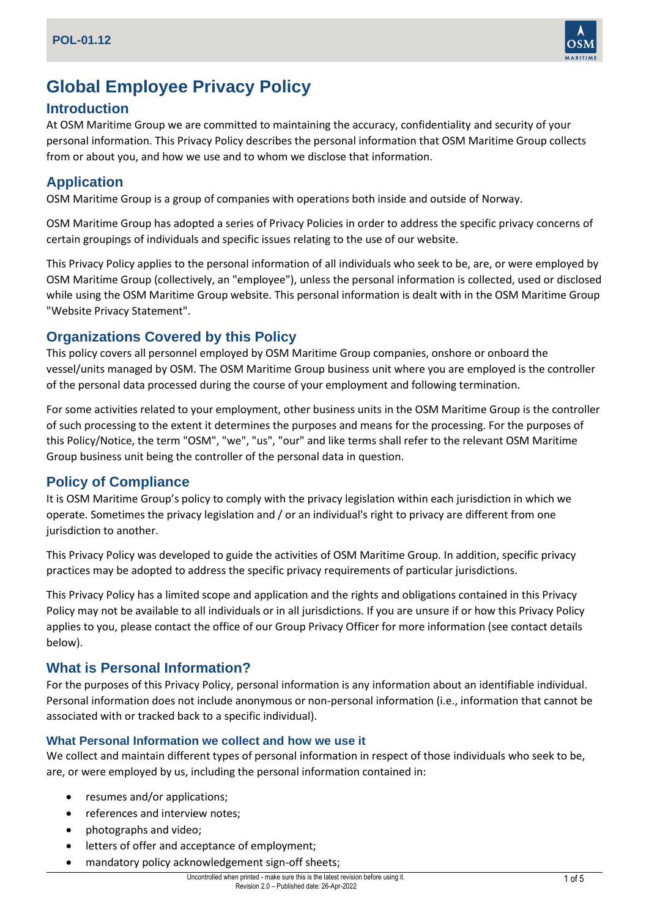

# **Global Employee Privacy Policy**

## **Introduction**

At OSM Maritime Group we are committed to maintaining the accuracy, confidentiality and security of your personal information. This Privacy Policy describes the personal information that OSM Maritime Group collects from or about you, and how we use and to whom we disclose that information.

# **Application**

OSM Maritime Group is a group of companies with operations both inside and outside of Norway.

OSM Maritime Group has adopted a series of Privacy Policies in order to address the specific privacy concerns of certain groupings of individuals and specific issues relating to the use of our website.

This Privacy Policy applies to the personal information of all individuals who seek to be, are, or were employed by OSM Maritime Group (collectively, an "employee"), unless the personal information is collected, used or disclosed while using the OSM Maritime Group website. This personal information is dealt with in the OSM Maritime Group "Website Privacy Statement".

# **Organizations Covered by this Policy**

This policy covers all personnel employed by OSM Maritime Group companies, onshore or onboard the vessel/units managed by OSM. The OSM Maritime Group business unit where you are employed is the controller of the personal data processed during the course of your employment and following termination.

For some activities related to your employment, other business units in the OSM Maritime Group is the controller of such processing to the extent it determines the purposes and means for the processing. For the purposes of this Policy/Notice, the term "OSM", "we", "us", "our" and like terms shall refer to the relevant OSM Maritime Group business unit being the controller of the personal data in question.

# **Policy of Compliance**

It is OSM Maritime Group's policy to comply with the privacy legislation within each jurisdiction in which we operate. Sometimes the privacy legislation and / or an individual's right to privacy are different from one jurisdiction to another.

This Privacy Policy was developed to guide the activities of OSM Maritime Group. In addition, specific privacy practices may be adopted to address the specific privacy requirements of particular jurisdictions.

This Privacy Policy has a limited scope and application and the rights and obligations contained in this Privacy Policy may not be available to all individuals or in all jurisdictions. If you are unsure if or how this Privacy Policy applies to you, please contact the office of our Group Privacy Officer for more information (see contact details below).

# **What is Personal Information?**

For the purposes of this Privacy Policy, personal information is any information about an identifiable individual. Personal information does not include anonymous or non-personal information (i.e., information that cannot be associated with or tracked back to a specific individual).

#### **What Personal Information we collect and how we use it**

We collect and maintain different types of personal information in respect of those individuals who seek to be, are, or were employed by us, including the personal information contained in:

- resumes and/or applications;
- references and interview notes;
- photographs and video;
- letters of offer and acceptance of employment;
- mandatory policy acknowledgement sign-off sheets;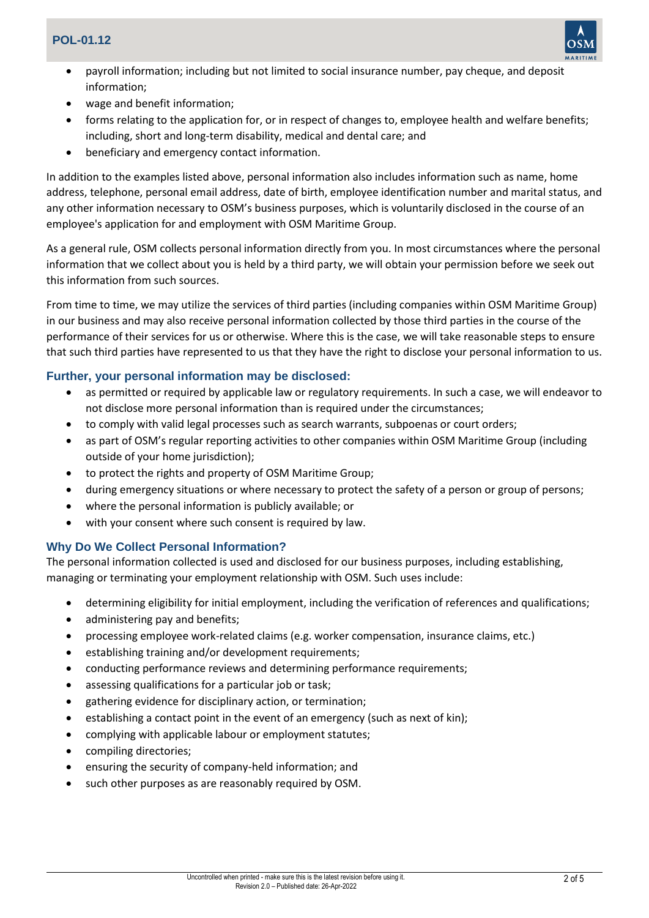

- payroll information; including but not limited to social insurance number, pay cheque, and deposit information;
- wage and benefit information;
- forms relating to the application for, or in respect of changes to, employee health and welfare benefits; including, short and long-term disability, medical and dental care; and
- beneficiary and emergency contact information.

In addition to the examples listed above, personal information also includes information such as name, home address, telephone, personal email address, date of birth, employee identification number and marital status, and any other information necessary to OSM's business purposes, which is voluntarily disclosed in the course of an employee's application for and employment with OSM Maritime Group.

As a general rule, OSM collects personal information directly from you. In most circumstances where the personal information that we collect about you is held by a third party, we will obtain your permission before we seek out this information from such sources.

From time to time, we may utilize the services of third parties (including companies within OSM Maritime Group) in our business and may also receive personal information collected by those third parties in the course of the performance of their services for us or otherwise. Where this is the case, we will take reasonable steps to ensure that such third parties have represented to us that they have the right to disclose your personal information to us.

#### **Further, your personal information may be disclosed:**

- as permitted or required by applicable law or regulatory requirements. In such a case, we will endeavor to not disclose more personal information than is required under the circumstances;
- to comply with valid legal processes such as search warrants, subpoenas or court orders;
- as part of OSM's regular reporting activities to other companies within OSM Maritime Group (including outside of your home jurisdiction);
- to protect the rights and property of OSM Maritime Group;
- during emergency situations or where necessary to protect the safety of a person or group of persons;
- where the personal information is publicly available; or
- with your consent where such consent is required by law.

#### **Why Do We Collect Personal Information?**

The personal information collected is used and disclosed for our business purposes, including establishing, managing or terminating your employment relationship with OSM. Such uses include:

- determining eligibility for initial employment, including the verification of references and qualifications;
- administering pay and benefits;
- processing employee work-related claims (e.g. worker compensation, insurance claims, etc.)
- establishing training and/or development requirements;
- conducting performance reviews and determining performance requirements;
- assessing qualifications for a particular job or task;
- gathering evidence for disciplinary action, or termination;
- establishing a contact point in the event of an emergency (such as next of kin);
- complying with applicable labour or employment statutes;
- compiling directories;
- ensuring the security of company-held information; and
- such other purposes as are reasonably required by OSM.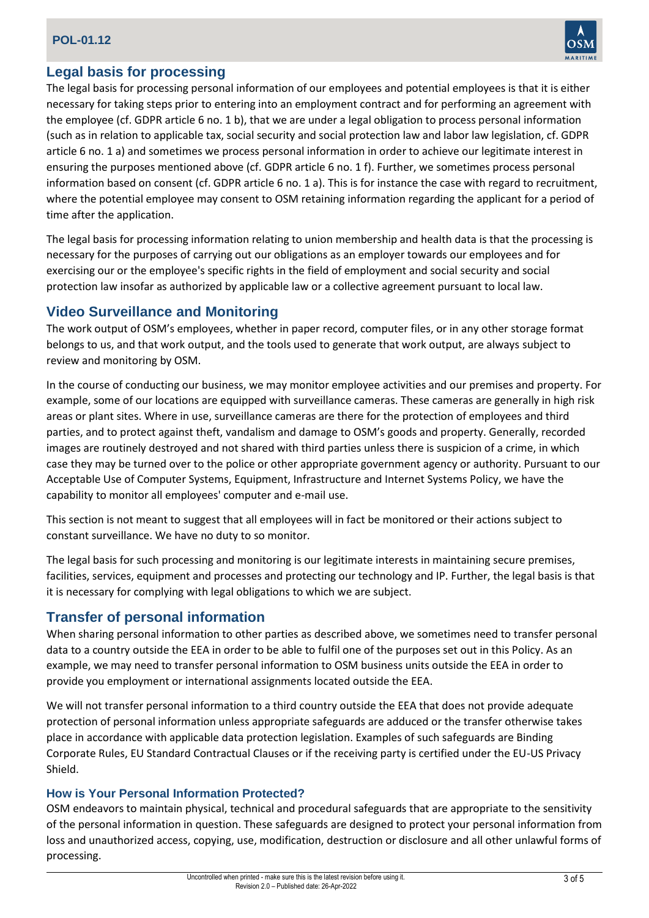### **POL-01.12**



## **Legal basis for processing**

The legal basis for processing personal information of our employees and potential employees is that it is either necessary for taking steps prior to entering into an employment contract and for performing an agreement with the employee (cf. GDPR article 6 no. 1 b), that we are under a legal obligation to process personal information (such as in relation to applicable tax, social security and social protection law and labor law legislation, cf. GDPR article 6 no. 1 a) and sometimes we process personal information in order to achieve our legitimate interest in ensuring the purposes mentioned above (cf. GDPR article 6 no. 1 f). Further, we sometimes process personal information based on consent (cf. GDPR article 6 no. 1 a). This is for instance the case with regard to recruitment, where the potential employee may consent to OSM retaining information regarding the applicant for a period of time after the application.

The legal basis for processing information relating to union membership and health data is that the processing is necessary for the purposes of carrying out our obligations as an employer towards our employees and for exercising our or the employee's specific rights in the field of employment and social security and social protection law insofar as authorized by applicable law or a collective agreement pursuant to local law.

## **Video Surveillance and Monitoring**

The work output of OSM's employees, whether in paper record, computer files, or in any other storage format belongs to us, and that work output, and the tools used to generate that work output, are always subject to review and monitoring by OSM.

In the course of conducting our business, we may monitor employee activities and our premises and property. For example, some of our locations are equipped with surveillance cameras. These cameras are generally in high risk areas or plant sites. Where in use, surveillance cameras are there for the protection of employees and third parties, and to protect against theft, vandalism and damage to OSM's goods and property. Generally, recorded images are routinely destroyed and not shared with third parties unless there is suspicion of a crime, in which case they may be turned over to the police or other appropriate government agency or authority. Pursuant to our Acceptable Use of Computer Systems, Equipment, Infrastructure and Internet Systems Policy, we have the capability to monitor all employees' computer and e-mail use.

This section is not meant to suggest that all employees will in fact be monitored or their actions subject to constant surveillance. We have no duty to so monitor.

The legal basis for such processing and monitoring is our legitimate interests in maintaining secure premises, facilities, services, equipment and processes and protecting our technology and IP. Further, the legal basis is that it is necessary for complying with legal obligations to which we are subject.

## **Transfer of personal information**

When sharing personal information to other parties as described above, we sometimes need to transfer personal data to a country outside the EEA in order to be able to fulfil one of the purposes set out in this Policy. As an example, we may need to transfer personal information to OSM business units outside the EEA in order to provide you employment or international assignments located outside the EEA.

We will not transfer personal information to a third country outside the EEA that does not provide adequate protection of personal information unless appropriate safeguards are adduced or the transfer otherwise takes place in accordance with applicable data protection legislation. Examples of such safeguards are Binding Corporate Rules, EU Standard Contractual Clauses or if the receiving party is certified under the EU-US Privacy Shield.

#### **How is Your Personal Information Protected?**

OSM endeavors to maintain physical, technical and procedural safeguards that are appropriate to the sensitivity of the personal information in question. These safeguards are designed to protect your personal information from loss and unauthorized access, copying, use, modification, destruction or disclosure and all other unlawful forms of processing.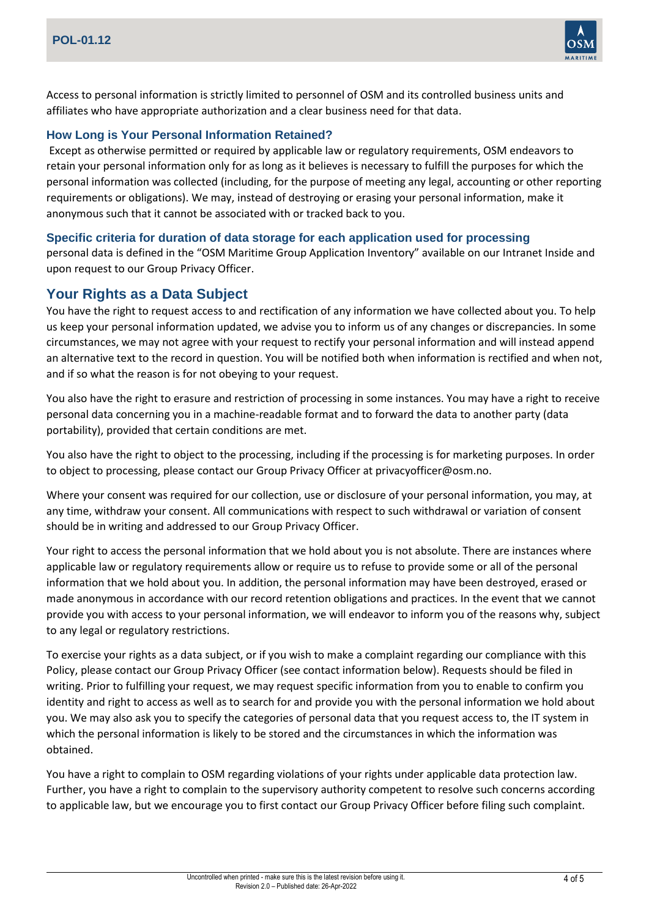

Access to personal information is strictly limited to personnel of OSM and its controlled business units and affiliates who have appropriate authorization and a clear business need for that data.

#### **How Long is Your Personal Information Retained?**

Except as otherwise permitted or required by applicable law or regulatory requirements, OSM endeavors to retain your personal information only for as long as it believes is necessary to fulfill the purposes for which the personal information was collected (including, for the purpose of meeting any legal, accounting or other reporting requirements or obligations). We may, instead of destroying or erasing your personal information, make it anonymous such that it cannot be associated with or tracked back to you.

#### **Specific criteria for duration of data storage for each application used for processing**

personal data is defined in the "OSM Maritime Group Application Inventory" available on our Intranet Inside and upon request to our Group Privacy Officer.

#### **Your Rights as a Data Subject**

You have the right to request access to and rectification of any information we have collected about you. To help us keep your personal information updated, we advise you to inform us of any changes or discrepancies. In some circumstances, we may not agree with your request to rectify your personal information and will instead append an alternative text to the record in question. You will be notified both when information is rectified and when not, and if so what the reason is for not obeying to your request.

You also have the right to erasure and restriction of processing in some instances. You may have a right to receive personal data concerning you in a machine-readable format and to forward the data to another party (data portability), provided that certain conditions are met.

You also have the right to object to the processing, including if the processing is for marketing purposes. In order to object to processing, please contact our Group Privacy Officer at privacyofficer@osm.no.

Where your consent was required for our collection, use or disclosure of your personal information, you may, at any time, withdraw your consent. All communications with respect to such withdrawal or variation of consent should be in writing and addressed to our Group Privacy Officer.

Your right to access the personal information that we hold about you is not absolute. There are instances where applicable law or regulatory requirements allow or require us to refuse to provide some or all of the personal information that we hold about you. In addition, the personal information may have been destroyed, erased or made anonymous in accordance with our record retention obligations and practices. In the event that we cannot provide you with access to your personal information, we will endeavor to inform you of the reasons why, subject to any legal or regulatory restrictions.

To exercise your rights as a data subject, or if you wish to make a complaint regarding our compliance with this Policy, please contact our Group Privacy Officer (see contact information below). Requests should be filed in writing. Prior to fulfilling your request, we may request specific information from you to enable to confirm you identity and right to access as well as to search for and provide you with the personal information we hold about you. We may also ask you to specify the categories of personal data that you request access to, the IT system in which the personal information is likely to be stored and the circumstances in which the information was obtained.

You have a right to complain to OSM regarding violations of your rights under applicable data protection law. Further, you have a right to complain to the supervisory authority competent to resolve such concerns according to applicable law, but we encourage you to first contact our Group Privacy Officer before filing such complaint.